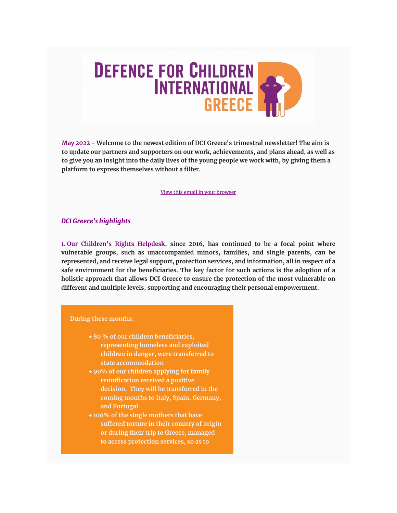

**May 2022 - Welcome to the newest edition of DCI Greece's trimestral newsletter! The aim is to update our partners and supporters on our work, achievements, and plans ahead, as well as to give you an insight into the daily lives of the young people we work with, by giving them a platform to express themselves without a filter.**

[View this email in your browser](https://us1.campaign-archive.com/?e=__test_email__&u=96e38e4b4640b8fdb3adb83d3&id=905a915c4d)

# *DCI Greece's highlights*

**1. Our Children's Rights Helpdesk, since 2016, has continued to be a focal point where vulnerable groups, such as unaccompanied minors, families, and single parents, can be represented, and receive legal support, protection services, and information, all in respect of a safe environment for the beneficiaries. The key factor for such actions is the adoption of a holistic approach that allows DCI Greece to ensure the protection of the most vulnerable on different and multiple levels, supporting and encouraging their personal empowerment.**

#### **During these months:**

- **until the beginning of 80 % of our children beneficiaries, our health <b>helpdesk offered children** in danger, were transferred to **its services to more state accommodation representing homeless and exploited**
- **than 120 90% of our children applying for family individuals** (including received a positive **decision.** They will be transferred in the **coming months to Italy, Spain, Germany,** children, and single **and Portugal.**
- **100% of the single mothers that have the region of Athens II suffered torture in their country of origin** and the surrounding **or during their trip to Greece, managed to access protection services, so as to**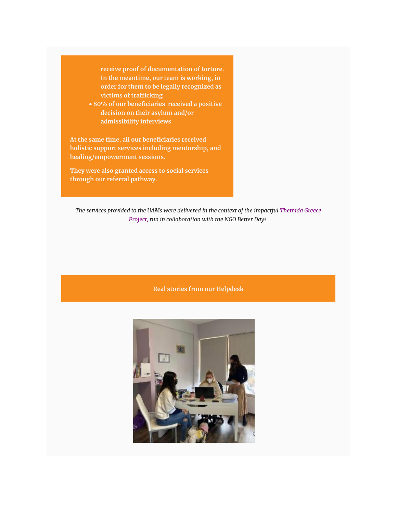**receive proof of documentation of torture. In the meantime, our team is working, in order for them to be legally recognized as victims of trafficking**

• **80% of our beneficiaries received a positive decision on their asylum and/or admissibility interviews**

**At the same time, all our beneficiaries received holistic support services including mentorship, and healing/empowerment sessions.**

**They were also granted access to social services through our referral pathway.**

*The services provided to the UAMs were delivered in the context of the impactful Themida Greece Project, run in collaboration with the NGO Better Days.*

## **Real stories from our Helpdesk**

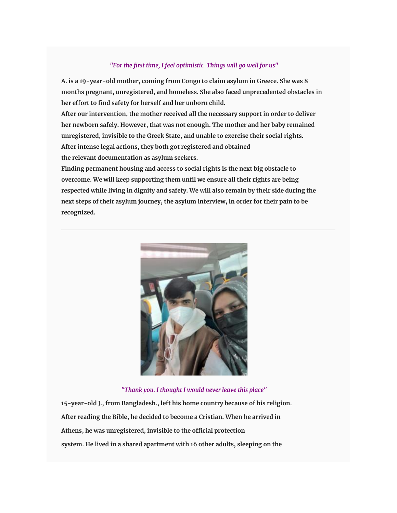# *"For the first time, I feel optimistic. Things will go well for us"*

**A. is a 19-year-old mother, coming from Congo to claim asylum in Greece. She was 8 months pregnant, unregistered, and homeless. She also faced unprecedented obstacles in her effort to find safety for herself and her unborn child.**

**After our intervention, the mother received all the necessary support in order to deliver her newborn safely. However, that was not enough. The mother and her baby remained unregistered, invisible to the Greek State, and unable to exercise their social rights. After intense legal actions, they both got registered and obtained the relevant documentation as asylum seekers.**

**Finding permanent housing and access to social rights is the next big obstacle to overcome. We will keep supporting them until we ensure all their rights are being respected while living in dignity and safety. We will also remain by their side during the next steps of their asylum journey, the asylum interview, in order for their pain to be recognized.**



## *"Thank you. I thought I would never leave this place"*

**15-year-old J., from Bangladesh., left his home country because of his religion. After reading the Bible, he decided to become a Cristian. When he arrived in Athens, he was unregistered, invisible to the official protection system. He lived in a shared apartment with 16 other adults, sleeping on the**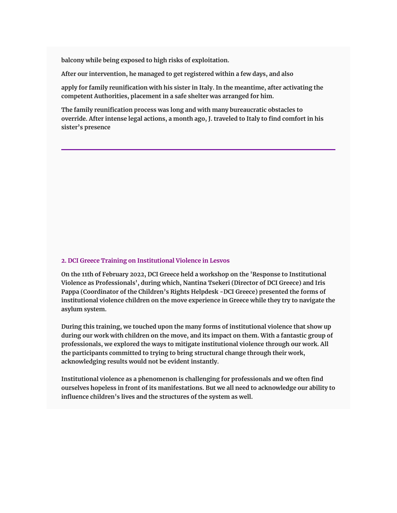**balcony while being exposed to high risks of exploitation.**

**After our intervention, he managed to get registered within a few days, and also**

**apply for family reunification with his sister in Italy. In the meantime, after activating the competent Authorities, placement in a safe shelter was arranged for him.**

**The family reunification process was long and with many bureaucratic obstacles to override. After intense legal actions, a month ago, J. traveled to Italy to find comfort in his sister's presence**

#### **2. DCI Greece Training on Institutional Violence in Lesvos**

**On the 11th of February 2022, DCI Greece held a workshop on the 'Response to Institutional Violence as Professionals', during which, Nantina Tsekeri (Director of DCI Greece) and Iris Pappa (Coordinator of the Children's Rights Helpdesk -DCI Greece) presented the forms of institutional violence children on the move experience in Greece while they try to navigate the asylum system.**

**During this training, we touched upon the many forms of institutional violence that show up during our work with children on the move, and its impact on them. With a fantastic group of professionals, we explored the ways to mitigate institutional violence through our work. All the participants committed to trying to bring structural change through their work, acknowledging results would not be evident instantly.**

**Institutional violence as a phenomenon is challenging for professionals and we often find ourselves hopeless in front of its manifestations. But we all need to acknowledge our ability to influence children's lives and the structures of the system as well.**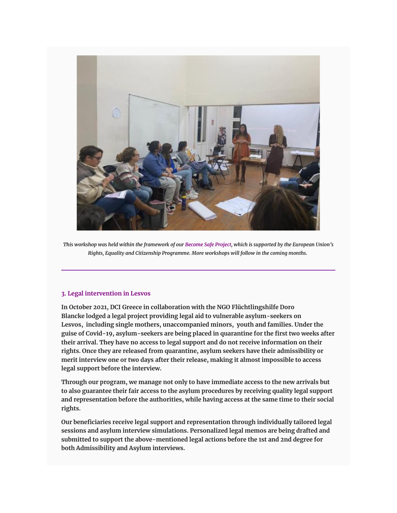

*This workshop was held within the framework of our Become Safe Project, which is supported by the European Union's Rights, Equality and Citizenship Programme. More workshops will follow in the coming months.*

### **3. Legal intervention in Lesvos**

**In October 2021, DCI Greece in collaboration with the NGO Flüchtlingshilfe Doro Blancke lodged a legal project providing legal aid to vulnerable asylum-seekers on Lesvos, including single mothers, unaccompanied minors, youth and families. Under the guise of Covid-19, asylum-seekers are being placed in quarantine for the first two weeks after their arrival. They have no access to legal support and do not receive information on their rights. Once they are released from quarantine, asylum seekers have their admissibility or merit interview one or two days after their release, making it almost impossible to access legal support before the interview.**

**Through our program, we manage not only to have immediate access to the new arrivals but to also guarantee their fair access to the asylum procedures by receiving quality legal support and representation before the authorities, while having access at the same time to their social rights.**

**Our beneficiaries receive legal support and representation through individually tailored legal sessions and asylum interview simulations. Personalized legal memos are being drafted and submitted to support the above-mentioned legal actions before the 1st and 2nd degree for both Admissibility and Asylum interviews.**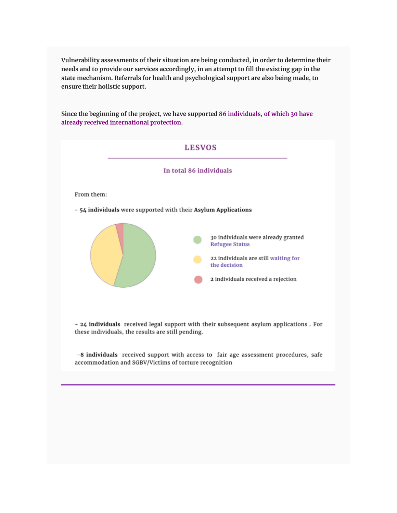**Vulnerability assessments of their situation are being conducted, in order to determine their needs and to provide our services accordingly, in an attempt to fill the existing gap in the state mechanism. Referrals for health and psychological support are also being made, to ensure their holistic support.**

**Since the beginning of the project, we have supported 86 individuals, of which 30 have already received international protection.**



these individuals, the results are still pending.

-8 individuals received support with access to fair age assessment procedures, safe accommodation and SGBV/Victims of torture recognition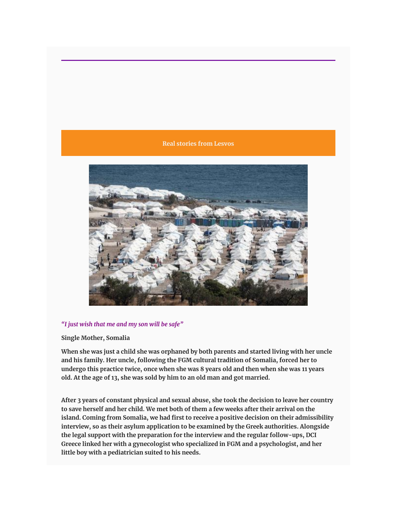### **Real stories from Lesvos**



### *"I just wish that me and my son will be safe"*

#### **Single Mother, Somalia**

**When she was just a child she was orphaned by both parents and started living with her uncle and his family. Her uncle, following the FGM cultural tradition of Somalia, forced her to undergo this practice twice, once when she was 8 years old and then when she was 11 years old. At the age of 13, she was sold by him to an old man and got married.**

**After 3 years of constant physical and sexual abuse, she took the decision to leave her country to save herself and her child. We met both of them a few weeks after their arrival on the island. Coming from Somalia, we had first to receive a positive decision on their admissibility interview, so as their asylum application to be examined by the Greek authorities. Alongside the legal support with the preparation for the interview and the regular follow-ups, DCI Greece linked her with a gynecologist who specialized in FGM and a psychologist, and her little boy with a pediatrician suited to his needs.**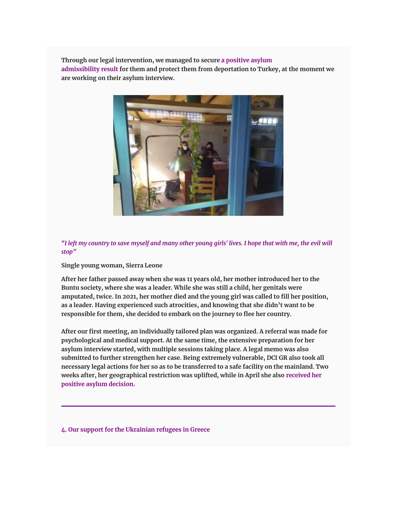**Through our legal intervention, we managed to secure a positive asylum admissibility result for them and protect them from deportation to Turkey, at the moment we are working on their asylum interview.**



*"I left my country to save myself and many other young girls' lives. I hope that with me, the evil will stop"*

**Single young woman, Sierra Leone**

**After her father passed away when she was 11 years old, her mother introduced her to the Buntu society, where she was a leader. While she was still a child, her genitals were amputated, twice. In 2021, her mother died and the young girl was called to fill her position, as a leader. Having experienced such atrocities, and knowing that she didn't want to be responsible for them, she decided to embark on the journey to flee her country.**

**After our first meeting, an individually tailored plan was organized. A referral was made for psychological and medical support. At the same time, the extensive preparation for her asylum interview started, with multiple sessions taking place. A legal memo was also submitted to further strengthen her case. Being extremely vulnerable, DCI GR also took all necessary legal actions for her so as to be transferred to a safe facility on the mainland. Two weeks after, her geographical restriction was uplifted, while in April she also received her positive asylum decision.**

**4. Our support for the Ukrainian refugees in Greece**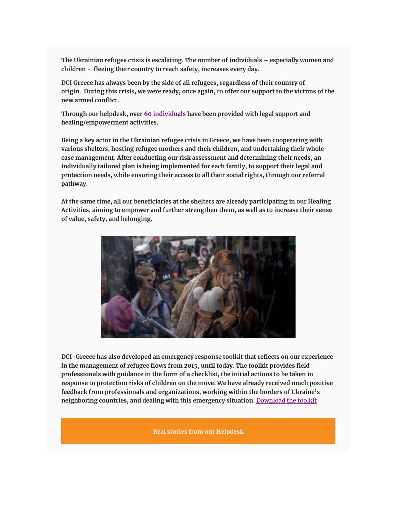**The Ukrainian refugee crisis is escalating. The number of individuals – especially women and children - fleeing their country to reach safety, increases every day.**

**DCI Greece has always been by the side of all refugees, regardless of their country of origin. During this crisis, we were ready, once again, to offer our support to the victims of the new armed conflict.**

**Through our helpdesk, over 60 individuals have been provided with legal support and healing/empowerment activities.**

**Being a key actor in the Ukrainian refugee crisis in Greece, we have been cooperating with various shelters, hosting refugee mothers and their children, and undertaking their whole case management. After conducting our risk assessment and determining their needs, an individually tailored plan is being implemented for each family, to support their legal and protection needs, while ensuring their access to all their social rights, through our referral pathway.**

**At the same time, all our beneficiaries at the shelters are already participating in our Healing Activities, aiming to empower and further strengthen them, as well as to increase their sense of value, safety, and belonging.**



**DCI-Greece has also developed an emergency response toolkit that reflects on our experience in the management of refugee flows from 2015, until today. The toolkit provides field professionals with guidance in the form of a checklist, the initial actions to be taken in response to protection risks of children on the move. We have already received much positive feedback from professionals and organizations, working within the borders of Ukraine's neighboring countries, and dealing with this emergency situation.** [Download the toolkit](https://www.defenceforchildrengreece.org/_files/ugd/936582_5a249d353fd048ca979c48b8e91554f9.pdf?fbclid=IwAR2n8DKLfPU2SsY-XtOY63eU7lyoHmBFAIzHn0vAT5arzXqTfpMsfpHFTYA)

**Real stories from our Helpdesk**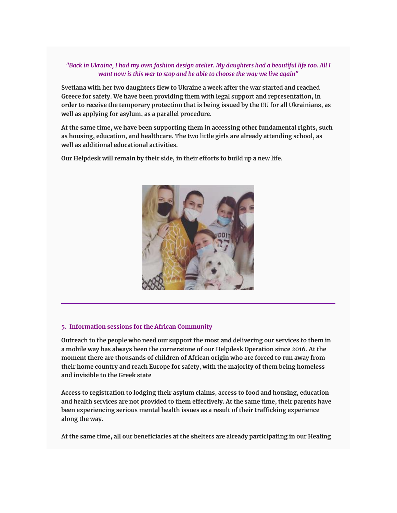# *"Back in Ukraine, I had my own fashion design atelier. My daughters had a beautiful life too. All I want now is this war to stop and be able to choose the way we live again"*

**Svetlana with her two daughters flew to Ukraine a week after the war started and reached Greece for safety. We have been providing them with legal support and representation, in order to receive the temporary protection that is being issued by the EU for all Ukrainians, as well as applying for asylum, as a parallel procedure.**

**At the same time, we have been supporting them in accessing other fundamental rights, such as housing, education, and healthcare. The two little girls are already attending school, as well as additional educational activities.**

**Our Helpdesk will remain by their side, in their efforts to build up a new life.**



### **5. Information sessions for the African Community**

**Outreach to the people who need our support the most and delivering our services to them in a mobile way has always been the cornerstone of our Helpdesk Operation since 2016. At the moment there are thousands of children of African origin who are forced to run away from their home country and reach Europe for safety, with the majority of them being homeless and invisible to the Greek state**

**Access to registration to lodging their asylum claims, access to food and housing, education and health services are not provided to them effectively. At the same time, their parents have been experiencing serious mental health issues as a result of their trafficking experience along the way.**

**At the same time, all our beneficiaries at the shelters are already participating in our Healing**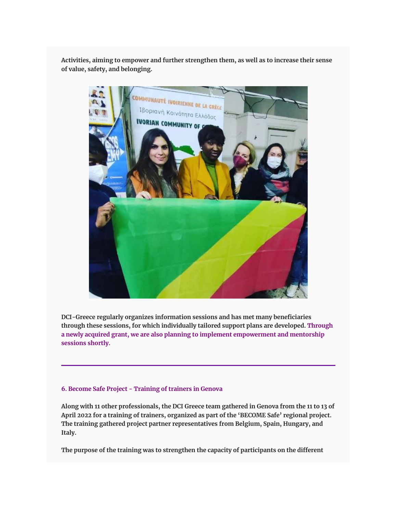**Activities, aiming to empower and further strengthen them, as well as to increase their sense of value, safety, and belonging.**



**DCI-Greece regularly organizes information sessions and has met many beneficiaries through these sessions, for which individually tailored support plans are developed. Through a newly acquired grant, we are also planning to implement empowerment and mentorship sessions shortly.**

## **6. Become Safe Project - Training of trainers in Genova**

**Along with 11 other professionals, the DCI Greece team gathered in Genova from the 11 to 13 of April 2022 for a training of trainers, organized as part of the 'BECOME Safe' regional project. The training gathered project partner representatives from Belgium, Spain, Hungary, and Italy.**

**The purpose of the training was to strengthen the capacity of participants on the different**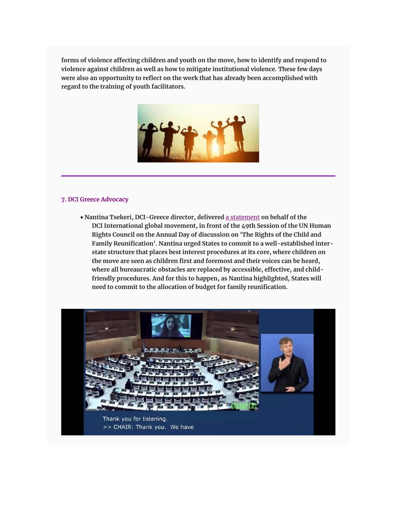**forms of violence affecting children and youth on the move, how to identify and respond to violence against children as well as how to mitigate institutional violence. These few days were also an opportunity to reflect on the work that has already been accomplished with regard to the training of youth facilitators.**



### **7. DCI Greece Advocacy**

• **Nantina Tsekeri, DCI-Greece director, delivered** [a statement](https://defenceforchildren.org/hrc-49-statement-on-family-reunification-in-the-context-of-migration/) **on behalf of the DCI International global movement, in front of the 49th Session of the UN Human Rights Council on the Annual Day of discussion on 'The Rights of the Child and Family Reunification'. Nantina urged States to commit to a well-established interstate structure that places best interest procedures at its core, where children on the move are seen as children first and foremost and their voices can be heard, where all bureaucratic obstacles are replaced by accessible, effective, and childfriendly procedures. And for this to happen, as Nantina highlighted, States will need to commit to the allocation of budget for family reunification.**

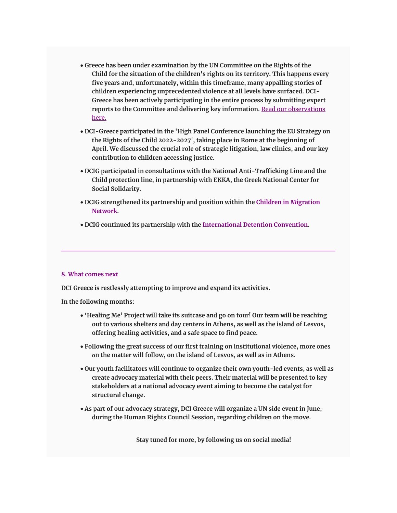- **Greece has been under examination by the UN Committee on the Rights of the Child for the situation of the children's rights on its territory. This happens every five years and, unfortunately, within this timeframe, many appalling stories of children experiencing unprecedented violence at all levels have surfaced. DCI-Greece has been actively participating in the entire process by submitting expert reports to the Committee and delivering key information.** [Read our observations](https://www.defenceforchildrengreece.org/_files/ugd/936582_930933eb9df94e39aa6cab397ac9dbfa.pdf?fbclid=IwAR3QWPAn4eIj_Vxs7XuAuy8R2t4a-LsoVYpdbcAB-b2KWS9_v0EHXEtGFGU)  [here.](https://www.defenceforchildrengreece.org/_files/ugd/936582_930933eb9df94e39aa6cab397ac9dbfa.pdf?fbclid=IwAR3QWPAn4eIj_Vxs7XuAuy8R2t4a-LsoVYpdbcAB-b2KWS9_v0EHXEtGFGU)
- **DCI-Greece participated in the 'High Panel Conference launching the EU Strategy on the Rights of the Child 2022-2027', taking place in Rome at the beginning of April. We discussed the crucial role of strategic litigation, law clinics, and our key contribution to children accessing justice.**
- **DCIG participated in consultations with the National Anti-Trafficking Line and the Child protection line, in partnership with EKKA, the Greek National Center for Social Solidarity.**
- **DCIG strengthened its partnership and position within the Children in Migration Network.**
- **DCIG continued its partnership with the International Detention Convention.**

### **8. What comes next**

**DCI Greece is restlessly attempting to improve and expand its activities.** 

**In the following months:**

- **'Healing Me' Project will take its suitcase and go on tour! Our team will be reaching out to various shelters and day centers in Athens, as well as the island of Lesvos, offering healing activities, and a safe space to find peace.**
- **Following the great success of our first training on institutional violence, more ones οn the matter will follow, on the island of Lesvos, as well as in Athens.**
- **Our youth facilitators will continue to organize their own youth-led events, as well as create advocacy material with their peers. Their material will be presented to key stakeholders at a national advocacy event aiming to become the catalyst for structural change.**
- **As part of our advocacy strategy, DCI Greece will organize a UN side event in June, during the Human Rights Council Session, regarding children on the move.**

**Stay tuned for more, by following us on social media!**